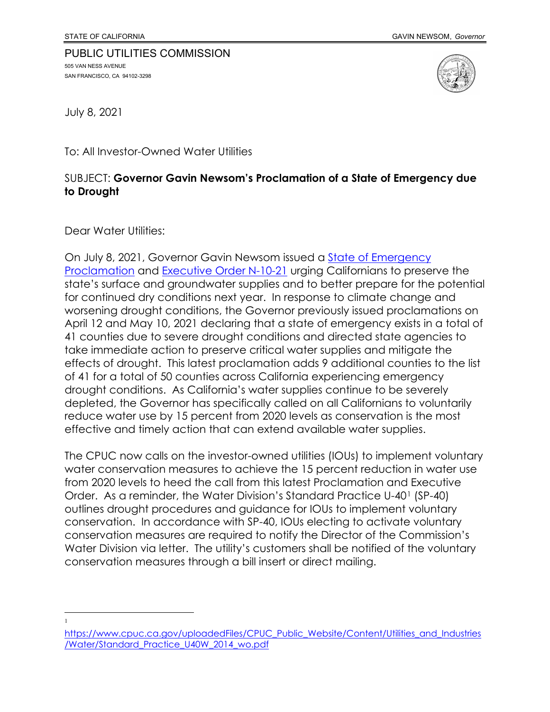## PUBLIC UTILITIES COMMISSION 505 VAN NESS AVENUE SAN FRANCISCO, CA 94102-3298



July 8, 2021

To: All Investor-Owned Water Utilities

## SUBJECT: **Governor Gavin Newsom's Proclamation of a State of Emergency due to Drought**

Dear Water Utilities:

On July 8, 2021, Governor Gavin Newsom issued a [State of Emergency](https://www.gov.ca.gov/wp-content/uploads/2021/07/7.8.21-Drought-Extension-Proclamation-.pdf)  [Proclamation](https://www.gov.ca.gov/wp-content/uploads/2021/07/7.8.21-Drought-Extension-Proclamation-.pdf) and [Executive Order N-10-21](https://www.gov.ca.gov/wp-content/uploads/2021/07/7.8.21-Conservation-Executive-Order-N-10-21-.pdf) urging Californians to preserve the state's surface and groundwater supplies and to better prepare for the potential for continued dry conditions next year. In response to climate change and worsening drought conditions, the Governor previously issued proclamations on April 12 and May 10, 2021 declaring that a state of emergency exists in a total of 41 counties due to severe drought conditions and directed state agencies to take immediate action to preserve critical water supplies and mitigate the effects of drought. This latest proclamation adds 9 additional counties to the list of 41 for a total of 50 counties across California experiencing emergency drought conditions. As California's water supplies continue to be severely depleted, the Governor has specifically called on all Californians to voluntarily reduce water use by 15 percent from 2020 levels as conservation is the most effective and timely action that can extend available water supplies.

The CPUC now calls on the investor-owned utilities (IOUs) to implement voluntary water conservation measures to achieve the 15 percent reduction in water use from 2020 levels to heed the call from this latest Proclamation and Executive Order. As a reminder, the Water Division's Standard Practice U-40[1](#page-0-0) (SP-40) outlines drought procedures and guidance for IOUs to implement voluntary conservation. In accordance with SP-40, IOUs electing to activate voluntary conservation measures are required to notify the Director of the Commission's Water Division via letter. The utility's customers shall be notified of the voluntary conservation measures through a bill insert or direct mailing.

<sup>1</sup>

<span id="page-0-0"></span>[https://www.cpuc.ca.gov/uploadedFiles/CPUC\\_Public\\_Website/Content/Utilities\\_and\\_Industries](https://www.cpuc.ca.gov/uploadedFiles/CPUC_Public_Website/Content/Utilities_and_Industries/Water/Standard_Practice_U40W_2014_wo.pdf) [/Water/Standard\\_Practice\\_U40W\\_2014\\_wo.pdf](https://www.cpuc.ca.gov/uploadedFiles/CPUC_Public_Website/Content/Utilities_and_Industries/Water/Standard_Practice_U40W_2014_wo.pdf)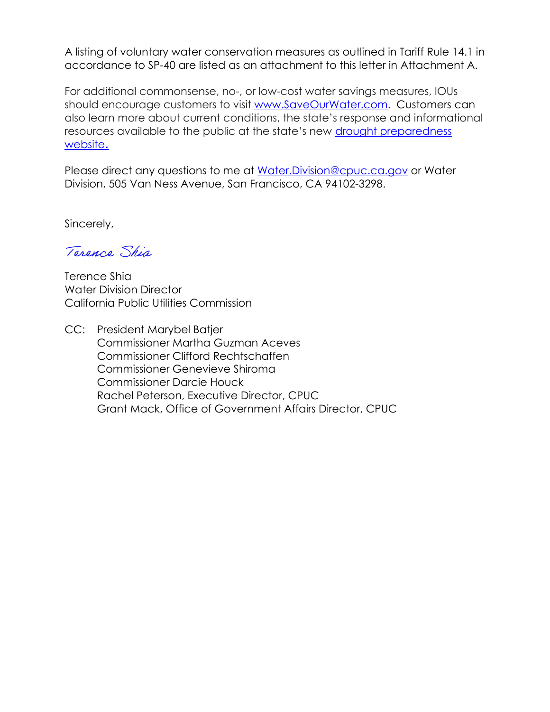A listing of voluntary water conservation measures as outlined in Tariff Rule 14.1 in accordance to SP-40 are listed as an attachment to this letter in Attachment A.

For additional commonsense, no-, or low-cost water savings measures, IOUs should encourage customers to visit [www.SaveOurWater.com.](http://www.saveourwater.com/) Customers can also learn more about current conditions, the state's response and informational resources available to the public at the state's new drought preparedness [website](https://drought.ca.gov/).

Please direct any questions to me at [Water.Division@cpuc.ca.gov](mailto:Water.Division@cpuc.ca.gov) or Water Division, 505 Van Ness Avenue, San Francisco, CA 94102-3298.

Sincerely,

Terence Shia

Terence Shia Water Division Director California Public Utilities Commission

CC: President Marybel Batjer Commissioner Martha Guzman Aceves Commissioner Clifford Rechtschaffen Commissioner Genevieve Shiroma Commissioner Darcie Houck Rachel Peterson, Executive Director, CPUC Grant Mack, Office of Government Affairs Director, CPUC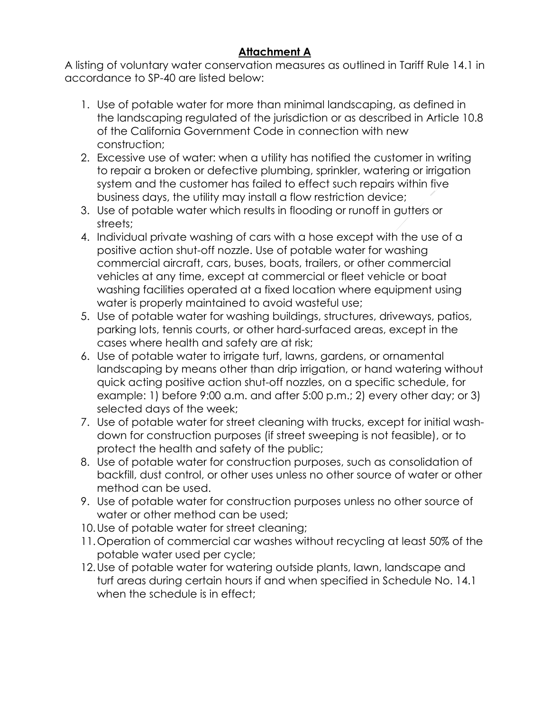## **Attachment A**

A listing of voluntary water conservation measures as outlined in Tariff Rule 14.1 in accordance to SP-40 are listed below:

- 1. Use of potable water for more than minimal landscaping, as defined in the landscaping regulated of the jurisdiction or as described in Article 10.8 of the California Government Code in connection with new construction;
- 2. Excessive use of water: when a utility has notified the customer in writing to repair a broken or defective plumbing, sprinkler, watering or irrigation system and the customer has failed to effect such repairs within five business days, the utility may install a flow restriction device;
- 3. Use of potable water which results in flooding or runoff in gutters or streets;
- 4. Individual private washing of cars with a hose except with the use of a positive action shut-off nozzle. Use of potable water for washing commercial aircraft, cars, buses, boats, trailers, or other commercial vehicles at any time, except at commercial or fleet vehicle or boat washing facilities operated at a fixed location where equipment using water is properly maintained to avoid wasteful use;
- 5. Use of potable water for washing buildings, structures, driveways, patios, parking lots, tennis courts, or other hard-surfaced areas, except in the cases where health and safety are at risk;
- 6. Use of potable water to irrigate turf, lawns, gardens, or ornamental landscaping by means other than drip irrigation, or hand watering without quick acting positive action shut-off nozzles, on a specific schedule, for example: 1) before 9:00 a.m. and after 5:00 p.m.; 2) every other day; or 3) selected days of the week;
- 7. Use of potable water for street cleaning with trucks, except for initial washdown for construction purposes (if street sweeping is not feasible), or to protect the health and safety of the public;
- 8. Use of potable water for construction purposes, such as consolidation of backfill, dust control, or other uses unless no other source of water or other method can be used.
- 9. Use of potable water for construction purposes unless no other source of water or other method can be used;
- 10.Use of potable water for street cleaning;
- 11.Operation of commercial car washes without recycling at least 50% of the potable water used per cycle;
- 12.Use of potable water for watering outside plants, lawn, landscape and turf areas during certain hours if and when specified in Schedule No. 14.1 when the schedule is in effect;